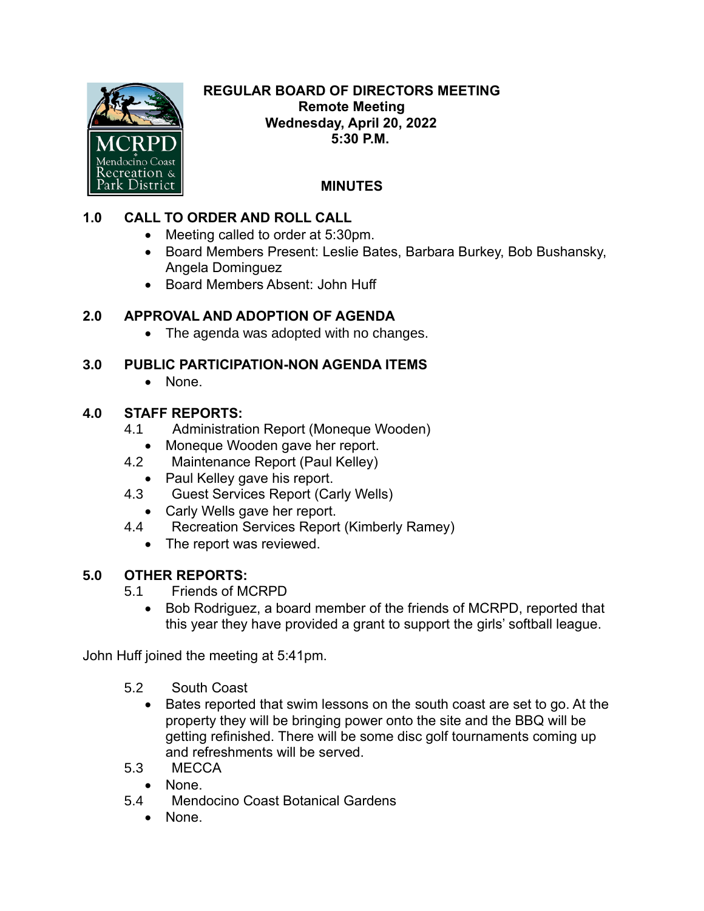

#### **REGULAR BOARD OF DIRECTORS MEETING Remote Meeting Wednesday, April 20, 2022 5:30 P.M.**

# **MINUTES**

## **1.0 CALL TO ORDER AND ROLL CALL**

- Meeting called to order at 5:30pm.
- Board Members Present: Leslie Bates, Barbara Burkey, Bob Bushansky, Angela Dominguez
- Board Members Absent: John Huff

## **2.0 APPROVAL AND ADOPTION OF AGENDA**

• The agenda was adopted with no changes.

#### **3.0 PUBLIC PARTICIPATION-NON AGENDA ITEMS**

• None.

## **4.0 STAFF REPORTS:**

- 4.1 Administration Report (Moneque Wooden)
	- Moneque Wooden gave her report.
- 4.2 Maintenance Report (Paul Kelley)
	- Paul Kelley gave his report.
- 4.3 Guest Services Report (Carly Wells)
	- Carly Wells gave her report.
- 4.4 Recreation Services Report (Kimberly Ramey)
	- The report was reviewed.

## **5.0 OTHER REPORTS:**

- 5.1 Friends of MCRPD
	- Bob Rodriguez, a board member of the friends of MCRPD, reported that this year they have provided a grant to support the girls' softball league.

John Huff joined the meeting at 5:41pm.

- 5.2 South Coast
	- Bates reported that swim lessons on the south coast are set to go. At the property they will be bringing power onto the site and the BBQ will be getting refinished. There will be some disc golf tournaments coming up and refreshments will be served.
- 5.3 MECCA
	- None.
- 5.4 Mendocino Coast Botanical Gardens
	- None.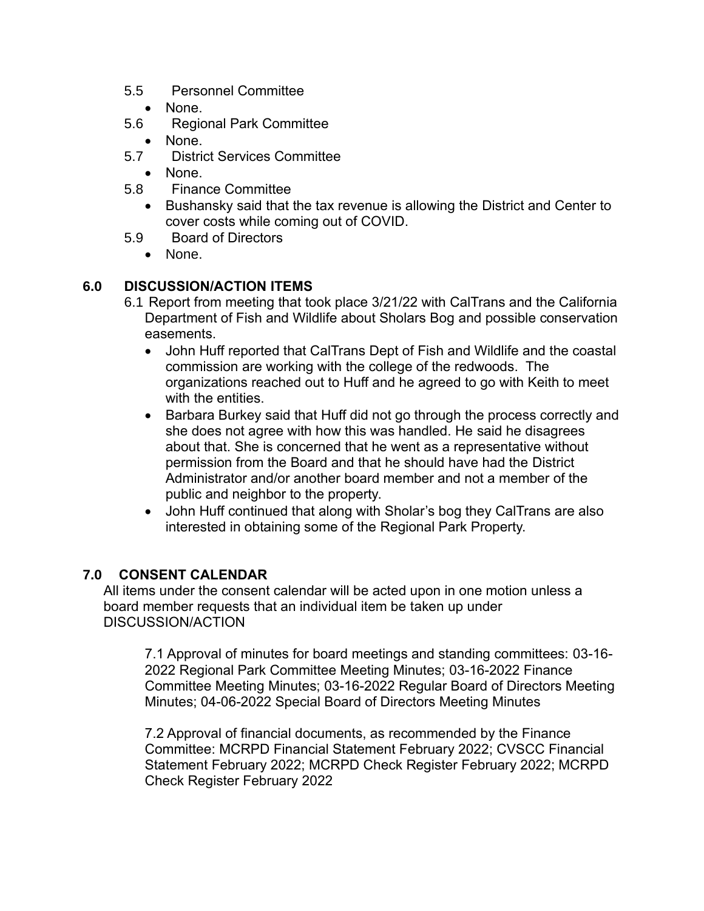- 5.5 Personnel Committee
	- None.
- 5.6 Regional Park Committee
	- None.
- 5.7 District Services Committee
	- None.
- 5.8 Finance Committee
	- Bushansky said that the tax revenue is allowing the District and Center to cover costs while coming out of COVID.
- 5.9 Board of Directors
	- None.

#### **6.0 DISCUSSION/ACTION ITEMS**

- 6.1 Report from meeting that took place 3/21/22 with CalTrans and the California Department of Fish and Wildlife about Sholars Bog and possible conservation easements.
	- John Huff reported that CalTrans Dept of Fish and Wildlife and the coastal commission are working with the college of the redwoods. The organizations reached out to Huff and he agreed to go with Keith to meet with the entities.
	- Barbara Burkey said that Huff did not go through the process correctly and she does not agree with how this was handled. He said he disagrees about that. She is concerned that he went as a representative without permission from the Board and that he should have had the District Administrator and/or another board member and not a member of the public and neighbor to the property.
	- John Huff continued that along with Sholar's bog they CalTrans are also interested in obtaining some of the Regional Park Property.

#### **7.0 CONSENT CALENDAR**

All items under the consent calendar will be acted upon in one motion unless a board member requests that an individual item be taken up under DISCUSSION/ACTION

7.1 Approval of minutes for board meetings and standing committees: 03-16- 2022 Regional Park Committee Meeting Minutes; 03-16-2022 Finance Committee Meeting Minutes; 03-16-2022 Regular Board of Directors Meeting Minutes; 04-06-2022 Special Board of Directors Meeting Minutes

7.2 Approval of financial documents, as recommended by the Finance Committee: MCRPD Financial Statement February 2022; CVSCC Financial Statement February 2022; MCRPD Check Register February 2022; MCRPD Check Register February 2022